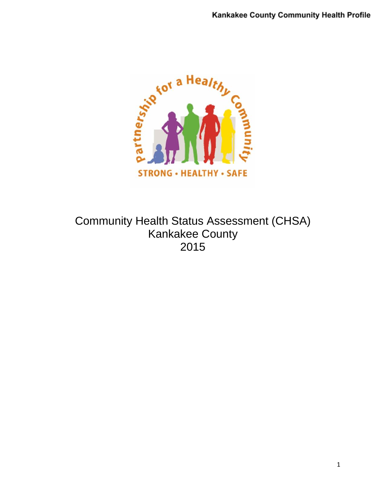

Community Health Status Assessment (CHSA) Kankakee County 2015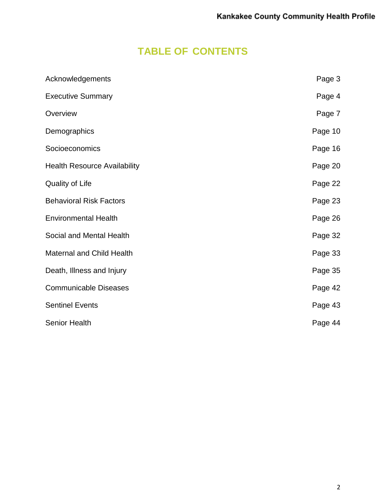# **TABLE OF CONTENTS**

| Acknowledgements                    | Page 3  |
|-------------------------------------|---------|
| <b>Executive Summary</b>            | Page 4  |
| Overview                            | Page 7  |
| Demographics                        | Page 10 |
| Socioeconomics                      | Page 16 |
| <b>Health Resource Availability</b> | Page 20 |
| <b>Quality of Life</b>              | Page 22 |
| <b>Behavioral Risk Factors</b>      | Page 23 |
| <b>Environmental Health</b>         | Page 26 |
| Social and Mental Health            | Page 32 |
| <b>Maternal and Child Health</b>    | Page 33 |
| Death, Illness and Injury           | Page 35 |
| <b>Communicable Diseases</b>        | Page 42 |
| <b>Sentinel Events</b>              | Page 43 |
| <b>Senior Health</b>                | Page 44 |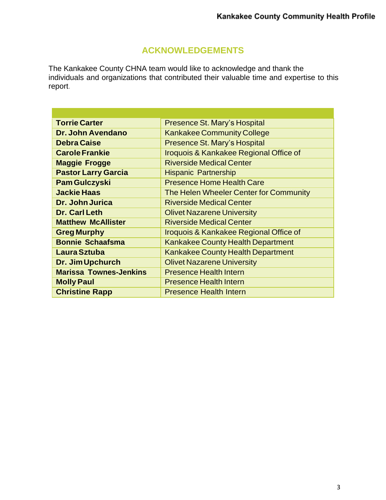## **ACKNOWLEDGEMENTS**

The Kankakee County CHNA team would like to acknowledge and thank the individuals and organizations that contributed their valuable time and expertise to this report.

| <b>Torrie Carter</b>          | Presence St. Mary's Hospital             |
|-------------------------------|------------------------------------------|
| Dr. John Avendano             | <b>Kankakee Community College</b>        |
| <b>Debra Caise</b>            | <b>Presence St. Mary's Hospital</b>      |
| <b>Carole Frankie</b>         | Iroquois & Kankakee Regional Office of   |
| <b>Maggie Frogge</b>          | <b>Riverside Medical Center</b>          |
| <b>Pastor Larry Garcia</b>    | <b>Hispanic Partnership</b>              |
| <b>Pam Gulczyski</b>          | <b>Presence Home Health Care</b>         |
| <b>Jackie Haas</b>            | The Helen Wheeler Center for Community   |
| Dr. John Jurica               | <b>Riverside Medical Center</b>          |
| Dr. Carl Leth                 | <b>Olivet Nazarene University</b>        |
| <b>Matthew McAllister</b>     | <b>Riverside Medical Center</b>          |
| <b>Greg Murphy</b>            | Iroquois & Kankakee Regional Office of   |
| <b>Bonnie Schaafsma</b>       | <b>Kankakee County Health Department</b> |
| Laura Sztuba                  | <b>Kankakee County Health Department</b> |
| Dr. Jim Upchurch              | <b>Olivet Nazarene University</b>        |
| <b>Marissa Townes-Jenkins</b> | <b>Presence Health Intern</b>            |
| <b>Molly Paul</b>             | <b>Presence Health Intern</b>            |
| <b>Christine Rapp</b>         | <b>Presence Health Intern</b>            |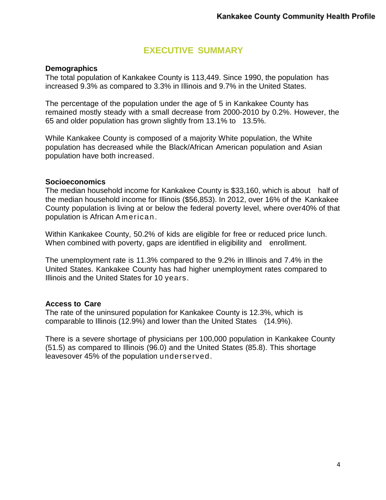## **EXECUTIVE SUMMARY**

#### **Demographics**

The total population of Kankakee County is 113,449. Since 1990, the population has increased 9.3% as compared to 3.3% in Illinois and 9.7% in the United States.

The percentage of the population under the age of 5 in Kankakee County has remained mostly steady with a small decrease from 2000-2010 by 0.2%. However, the 65 and older population has grown slightly from 13.1% to 13.5%.

While Kankakee County is composed of a majority White population, the White population has decreased while the Black/African American population and Asian population have both increased.

#### **Socioeconomics**

The median household income for Kankakee County is \$33,160, which is about half of the median household income for Illinois (\$56,853). In 2012, over 16% of the Kankakee County population is living at or below the federal poverty level, where over40% of that population is African American.

Within Kankakee County, 50.2% of kids are eligible for free or reduced price lunch. When combined with poverty, gaps are identified in eligibility and enrollment.

The unemployment rate is 11.3% compared to the 9.2% in Illinois and 7.4% in the United States. Kankakee County has had higher unemployment rates compared to Illinois and the United States for 10 years.

#### **Access to Care**

The rate of the uninsured population for Kankakee County is 12.3%, which is comparable to Illinois (12.9%) and lower than the United States (14.9%).

There is a severe shortage of physicians per 100,000 population in Kankakee County (51.5) as compared to Illinois (96.0) and the United States (85.8). This shortage leavesover 45% of the population underserved.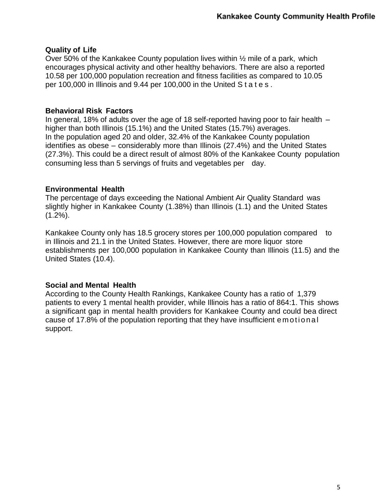#### **Quality of Life**

Over 50% of the Kankakee County population lives within ½ mile of a park, which encourages physical activity and other healthy behaviors. There are also a reported 10.58 per 100,000 population recreation and fitness facilities as compared to 10.05 per 100,000 in Illinois and 9.44 per 100,000 in the United S t a t e s .

#### **Behavioral Risk Factors**

In general, 18% of adults over the age of 18 self-reported having poor to fair health – higher than both Illinois (15.1%) and the United States (15.7%) averages. In the population aged 20 and older, 32.4% of the Kankakee County population identifies as obese – considerably more than Illinois (27.4%) and the United States (27.3%). This could be a direct result of almost 80% of the Kankakee County population consuming less than 5 servings of fruits and vegetables per day.

#### **Environmental Health**

The percentage of days exceeding the National Ambient Air Quality Standard was slightly higher in Kankakee County (1.38%) than Illinois (1.1) and the United States  $(1.2\%)$ .

Kankakee County only has 18.5 grocery stores per 100,000 population compared to in Illinois and 21.1 in the United States. However, there are more liquor store establishments per 100,000 population in Kankakee County than Illinois (11.5) and the United States (10.4).

#### **Social and Mental Health**

According to the County Health Rankings, Kankakee County has a ratio of 1,379 patients to every 1 mental health provider, while Illinois has a ratio of 864:1. This shows a significant gap in mental health providers for Kankakee County and could bea direct cause of 17.8% of the population reporting that they have insufficient emotional support.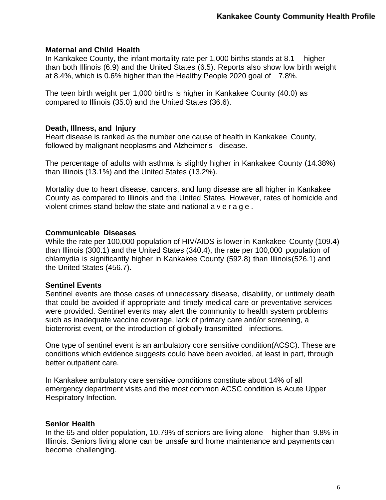#### **Maternal and Child Health**

In Kankakee County, the infant mortality rate per 1,000 births stands at 8.1 – higher than both Illinois (6.9) and the United States (6.5). Reports also show low birth weight at 8.4%, which is 0.6% higher than the Healthy People 2020 goal of 7.8%.

The teen birth weight per 1,000 births is higher in Kankakee County (40.0) as compared to Illinois (35.0) and the United States (36.6).

#### **Death, Illness, and Injury**

Heart disease is ranked as the number one cause of health in Kankakee County, followed by malignant neoplasms and Alzheimer's disease.

The percentage of adults with asthma is slightly higher in Kankakee County (14.38%) than Illinois (13.1%) and the United States (13.2%).

Mortality due to heart disease, cancers, and lung disease are all higher in Kankakee County as compared to Illinois and the United States. However, rates of homicide and violent crimes stand below the state and national a v e r a g e .

#### **Communicable Diseases**

While the rate per 100,000 population of HIV/AIDS is lower in Kankakee County (109.4) than Illinois (300.1) and the United States (340.4), the rate per 100,000 population of chlamydia is significantly higher in Kankakee County (592.8) than Illinois(526.1) and the United States (456.7).

#### **Sentinel Events**

Sentinel events are those cases of unnecessary disease, disability, or untimely death that could be avoided if appropriate and timely medical care or preventative services were provided. Sentinel events may alert the community to health system problems such as inadequate vaccine coverage, lack of primary care and/or screening, a bioterrorist event, or the introduction of globally transmitted infections.

One type of sentinel event is an ambulatory core sensitive condition(ACSC). These are conditions which evidence suggests could have been avoided, at least in part, through better outpatient care.

In Kankakee ambulatory care sensitive conditions constitute about 14% of all emergency department visits and the most common ACSC condition is Acute Upper Respiratory Infection.

#### **Senior Health**

In the 65 and older population, 10.79% of seniors are living alone – higher than 9.8% in Illinois. Seniors living alone can be unsafe and home maintenance and payments can become challenging.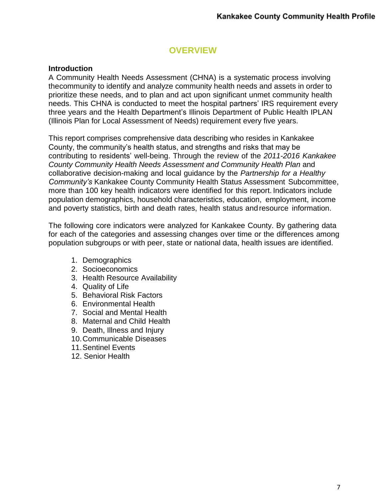## **OVERVIEW**

#### **Introduction**

A Community Health Needs Assessment (CHNA) is a systematic process involving thecommunity to identify and analyze community health needs and assets in order to prioritize these needs, and to plan and act upon significant unmet community health needs. This CHNA is conducted to meet the hospital partners' IRS requirement every three years and the Health Department's Illinois Department of Public Health IPLAN (Illinois Plan for Local Assessment of Needs) requirement every five years.

This report comprises comprehensive data describing who resides in Kankakee County, the community's health status, and strengths and risks that may be contributing to residents' well-being. Through the review of the *2011-2016 Kankakee County Community Health Needs Assessment and Community Health Plan* and collaborative decision-making and local guidance by the *Partnership for a Healthy Community's* Kankakee County Community Health Status Assessment Subcommittee, more than 100 key health indicators were identified for this report. Indicators include population demographics, household characteristics, education, employment, income and poverty statistics, birth and death rates, health status andresource information.

The following core indicators were analyzed for Kankakee County. By gathering data for each of the categories and assessing changes over time or the differences among population subgroups or with peer, state or national data, health issues are identified.

- 1. Demographics
- 2. Socioeconomics
- 3. Health Resource Availability
- 4. Quality of Life
- 5. Behavioral Risk Factors
- 6. Environmental Health
- 7. Social and Mental Health
- 8. Maternal and Child Health
- 9. Death, Illness and Injury
- 10.Communicable Diseases
- 11.Sentinel Events
- 12. Senior Health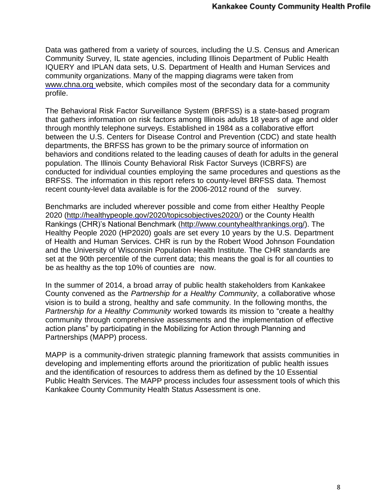Data was gathered from a variety of sources, including the U.S. Census and American Community Survey, IL state agencies, including Illinois Department of Public Health IQUERY and IPLAN data sets, U.S. Department of Health and Human Services and community organizations. Many of the mapping diagrams were taken from [www.chna.org](http://www.chna.org/) website, which compiles most of the secondary data for a community profile.

The Behavioral Risk Factor Surveillance System (BRFSS) is a state-based program that gathers information on risk factors among Illinois adults 18 years of age and older through monthly telephone surveys. Established in 1984 as a collaborative effort between the U.S. Centers for Disease Control and Prevention (CDC) and state health departments, the BRFSS has grown to be the primary source of information on behaviors and conditions related to the leading causes of death for adults in the general population. The Illinois County Behavioral Risk Factor Surveys (ICBRFS) are conducted for individual counties employing the same procedures and questions as the BRFSS. The information in this report refers to county-level BRFSS data. Themost recent county-level data available is for the 2006-2012 round of the survey.

Benchmarks are included wherever possible and come from either Healthy People 2020 [\(http://healthypeople.gov/2020/topicsobjectives2020/\)](http://healthypeople.gov/2020/topicsobjectives2020/) or the County Health Rankings (CHR)'s National Benchmark [\(http://www.countyhealthrankings.org/\)](http://www.countyhealthrankings.org/). The Healthy People 2020 (HP2020) goals are set every 10 years by the U.S. Department of Health and Human Services. CHR is run by the Robert Wood Johnson Foundation and the University of Wisconsin Population Health Institute. The CHR standards are set at the 90th percentile of the current data; this means the goal is for all counties to be as healthy as the top 10% of counties are now.

In the summer of 2014, a broad array of public health stakeholders from Kankakee County convened as the *Partnership for a Healthy Community*, a collaborative whose vision is to build a strong, healthy and safe community. In the following months, the *Partnership for a Healthy Community* worked towards its mission to "create a healthy community through comprehensive assessments and the implementation of effective action plans" by participating in the Mobilizing for Action through Planning and Partnerships (MAPP) process.

MAPP is a community-driven strategic planning framework that assists communities in developing and implementing efforts around the prioritization of public health issues and the identification of resources to address them as defined by the 10 Essential Public Health Services. The MAPP process includes four assessment tools of which this Kankakee County Community Health Status Assessment is one.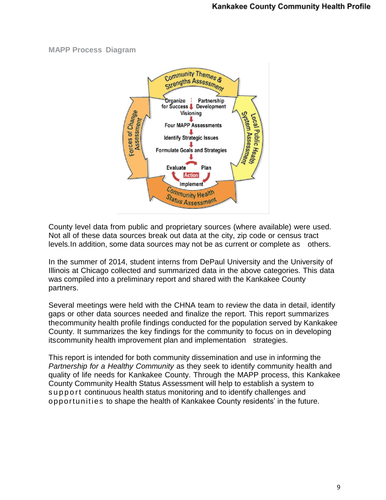#### **MAPP Process Diagram**



County level data from public and proprietary sources (where available) were used. Not all of these data sources break out data at the city, zip code or census tract levels.In addition, some data sources may not be as current or complete as others.

In the summer of 2014, student interns from DePaul University and the University of Illinois at Chicago collected and summarized data in the above categories. This data was compiled into a preliminary report and shared with the Kankakee County partners.

Several meetings were held with the CHNA team to review the data in detail, identify gaps or other data sources needed and finalize the report. This report summarizes thecommunity health profile findings conducted for the population served by Kankakee County. It summarizes the key findings for the community to focus on in developing itscommunity health improvement plan and implementation strategies.

This report is intended for both community dissemination and use in informing the *Partnership for a Healthy Community* as they seek to identify community health and quality of life needs for Kankakee County. Through the MAPP process, this Kankakee County Community Health Status Assessment will help to establish a system to support continuous health status monitoring and to identify challenges and opportunities to shape the health of Kankakee County residents' in the future.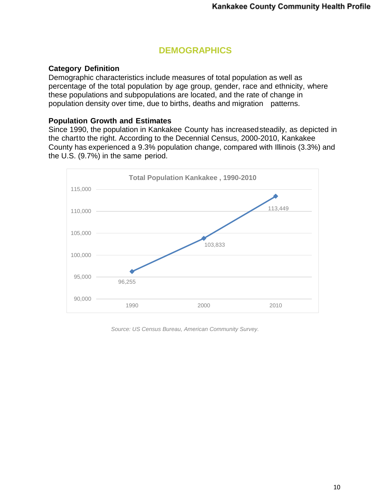## **DEMOGRAPHICS**

#### **Category Definition**

Demographic characteristics include measures of total population as well as percentage of the total population by age group, gender, race and ethnicity, where these populations and subpopulations are located, and the rate of change in population density over time, due to births, deaths and migration patterns.

#### **Population Growth and Estimates**

Since 1990, the population in Kankakee County has increasedsteadily, as depicted in the chartto the right. According to the Decennial Census, 2000-2010, Kankakee County has experienced a 9.3% population change, compared with Illinois (3.3%) and the U.S. (9.7%) in the same period.



*Source: US Census Bureau, American Community Survey.*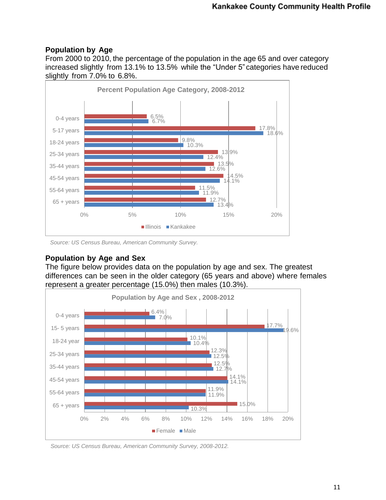### **Population by Age**

From 2000 to 2010, the percentage of the population in the age 65 and over category increased slightly from 13.1% to 13.5% while the "Under 5" categories have reduced slightly from 7.0% to 6.8%.



*Source: US Census Bureau, American Community Survey.* 

## **Population by Age and Sex**

The figure below provides data on the population by age and sex. The greatest differences can be seen in the older category (65 years and above) where females represent a greater percentage (15.0%) then males (10.3%).



*Source: US Census Bureau, American Community Survey, 2008-2012.*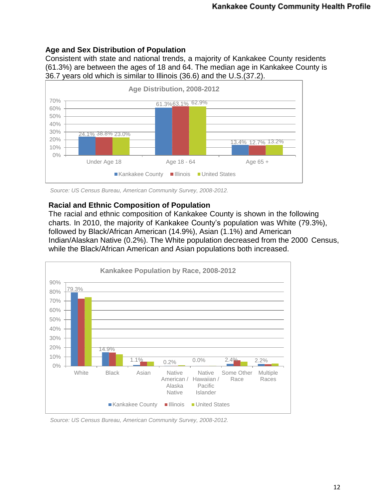### **Age and Sex Distribution of Population**

Consistent with state and national trends, a majority of Kankakee County residents (61.3%) are between the ages of 18 and 64. The median age in Kankakee County is 36.7 years old which is similar to Illinois (36.6) and the U.S.(37.2).



*Source: US Census Bureau, American Community Survey, 2008-2012.*

### **Racial and Ethnic Composition of Population**

The racial and ethnic composition of Kankakee County is shown in the following charts. In 2010, the majority of Kankakee County's population was White (79.3%), followed by Black/African American (14.9%), Asian (1.1%) and American Indian/Alaskan Native (0.2%). The White population decreased from the 2000 Census, while the Black/African American and Asian populations both increased.



*Source: US Census Bureau, American Community Survey, 2008-2012.*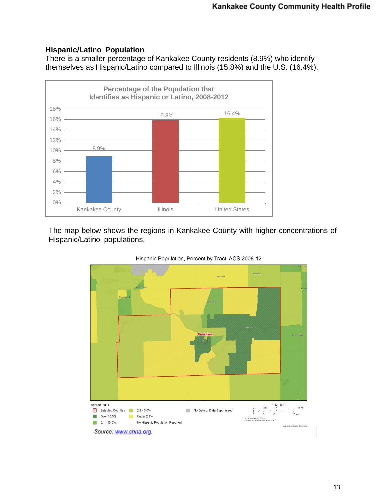## **Hispanic/Latino Population**

There is a smaller percentage of Kankakee County residents (8.9%) who identify themselves as Hispanic/Latino compared to Illinois (15.8%) and the U.S. (16.4%).



The map below shows the regions in Kankakee County with higher concentrations of Hispanic/Latino populations.



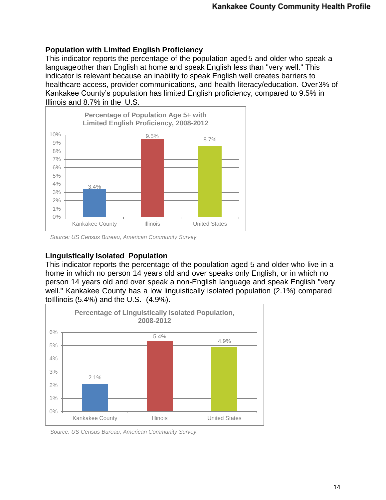#### **Population with Limited English Proficiency**

This indicator reports the percentage of the population aged 5 and older who speak a languageother than English at home and speak English less than "very well." This indicator is relevant because an inability to speak English well creates barriers to healthcare access, provider communications, and health literacy/education. Over3% of Kankakee County's population has limited English proficiency, compared to 9.5% in Illinois and 8.7% in the U.S.



*Source: US Census Bureau, American Community Survey.*

#### **Linguistically Isolated Population**

This indicator reports the percentage of the population aged 5 and older who live in a home in which no person 14 years old and over speaks only English, or in which no person 14 years old and over speak a non-English language and speak English "very well." Kankakee County has a low linguistically isolated population (2.1%) compared toIllinois (5.4%) and the U.S. (4.9%).



*Source: US Census Bureau, American Community Survey.*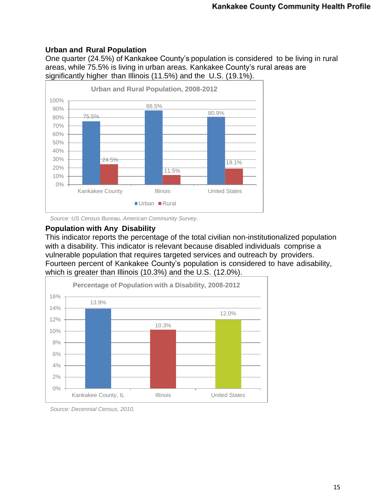## **Urban and Rural Population**

One quarter (24.5%) of Kankakee County's population is considered to be living in rural areas, while 75.5% is living in urban areas. Kankakee County's rural areas are significantly higher than Illinois (11.5%) and the U.S. (19.1%).



*Source: US Census Bureau, American Community Survey.*

#### **Population with Any Disability**

This indicator reports the percentage of the total civilian non-institutionalized population with a disability. This indicator is relevant because disabled individuals comprise a vulnerable population that requires targeted services and outreach by providers. Fourteen percent of Kankakee County's population is considered to have adisability, which is greater than Illinois (10.3%) and the U.S. (12.0%).



*Source: Decennial Census, 2010.*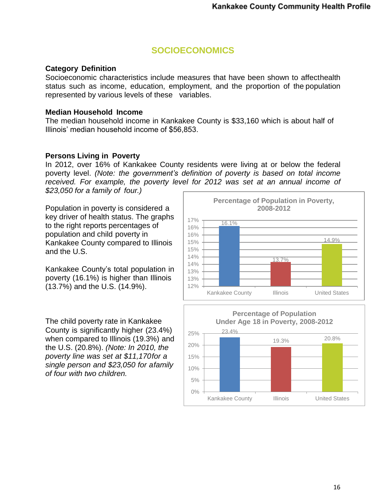## **SOCIOECONOMICS**

#### **Category Definition**

Socioeconomic characteristics include measures that have been shown to affecthealth status such as income, education, employment, and the proportion of the population represented by various levels of these variables.

#### **Median Household Income**

The median household income in Kankakee County is \$33,160 which is about half of Illinois' median household income of \$56,853.

#### **Persons Living in Poverty**

In 2012, over 16% of Kankakee County residents were living at or below the federal poverty level. *(Note: the government's definition of poverty is based on total income received. For example, the poverty level for 2012 was set at an annual income of \$23,050 for a family of four.)*

Population in poverty is considered a key driver of health status. The graphs to the right reports percentages of population and child poverty in Kankakee County compared to Illinois and the U.S.

Kankakee County's total population in poverty (16.1%) is higher than Illinois (13.7%) and the U.S. (14.9%).

The child poverty rate in Kankakee County is significantly higher (23.4%) when compared to Illinois (19.3%) and the U.S. (20.8%). *(Note: In 2010, the poverty line was set at \$11,170for a single person and \$23,050 for afamily of four with two children.*



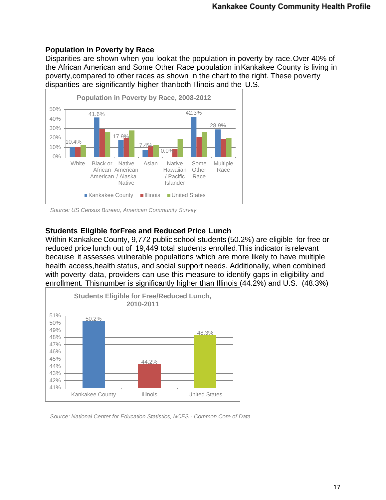### **Population in Poverty by Race**

Disparities are shown when you lookat the population in poverty by race.Over 40% of the African American and Some Other Race population inKankakee County is living in poverty,compared to other races as shown in the chart to the right. These poverty disparities are significantly higher thanboth Illinois and the U.S.



*Source: US Census Bureau, American Community Survey.*

### **Students Eligible forFree and Reduced Price Lunch**

Within Kankakee County, 9,772 public school students (50.2%) are eligible for free or reduced price lunch out of 19,449 total students enrolled.This indicator is relevant because it assesses vulnerable populations which are more likely to have multiple health access,health status, and social support needs. Additionally, when combined with poverty data, providers can use this measure to identify gaps in eligibility and enrollment. Thisnumber is significantly higher than Illinois (44.2%) and U.S. (48.3%)



*Source: National Center for Education Statistics, NCES - Common Core of Data.*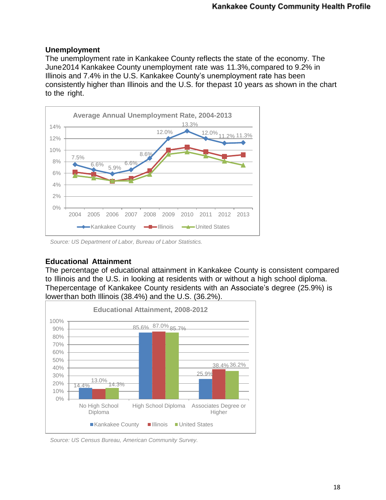#### **Unemployment**

The unemployment rate in Kankakee County reflects the state of the economy. The June2014 Kankakee County unemployment rate was 11.3%,compared to 9.2% in Illinois and 7.4% in the U.S. Kankakee County's unemployment rate has been consistently higher than Illinois and the U.S. for thepast 10 years as shown in the chart to the right.



*Source: US Department of Labor, Bureau of Labor Statistics.*

#### **Educational Attainment**

The percentage of educational attainment in Kankakee County is consistent compared to Illinois and the U.S. in looking at residents with or without a high school diploma. Thepercentage of Kankakee County residents with an Associate's degree (25.9%) is lowerthan both Illinois (38.4%) and the U.S. (36.2%).



*Source: US Census Bureau, American Community Survey.*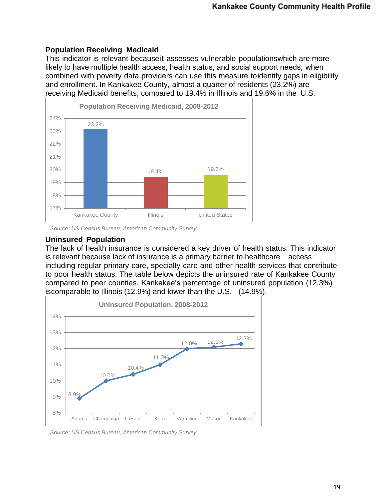#### **Population Receiving Medicaid**

This indicator is relevant becauseit assesses vulnerable populationswhich are more likely to have multiple health access, health status, and social support needs; when combined with poverty data,providers can use this measure toidentify gaps in eligibility and enrollment. In Kankakee County, almost a quarter of residents (23.2%) are receiving Medicaid benefits, compared to 19.4% in Illinois and 19.6% in the U.S.



*Source: US Census Bureau, American Community Survey.*

#### **Uninsured Population**

The lack of health insurance is considered a key driver of health status. This indicator is relevant because lack of insurance is a primary barrier to healthcare access including regular primary care, specialty care and other health services that contribute to poor health status. The table below depicts the uninsured rate of Kankakee County compared to peer counties. Kankakee's percentage of uninsured population (12.3%) iscomparable to Illinois (12.9%) and lower than the U.S. (14.9%).



*Source: US Census Bureau, American Community Survey.*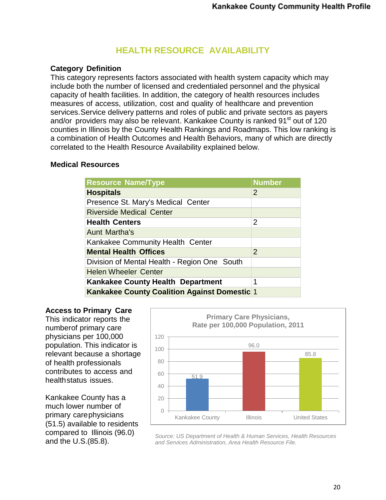## **HEALTH RESOURCE AVAILABILITY**

### **Category Definition**

This category represents factors associated with health system capacity which may include both the number of licensed and credentialed personnel and the physical capacity of health facilities. In addition, the category of health resources includes measures of access, utilization, cost and quality of healthcare and prevention services.Service delivery patterns and roles of public and private sectors as payers and/or providers may also be relevant. Kankakee County is ranked 91<sup>st</sup> out of 120 counties in Illinois by the County Health Rankings and Roadmaps. This low ranking is a combination of Health Outcomes and Health Behaviors, many of which are directly correlated to the Health Resource Availability explained below.

#### **Medical Resources**

| <b>Resource Name/Type</b>                           | <b>Number</b>  |
|-----------------------------------------------------|----------------|
| <b>Hospitals</b>                                    | 2              |
| Presence St. Mary's Medical Center                  |                |
| Riverside Medical Center                            |                |
| <b>Health Centers</b>                               | 2              |
| <b>Aunt Martha's</b>                                |                |
| Kankakee Community Health Center                    |                |
| <b>Mental Health Offices</b>                        | $\overline{2}$ |
| Division of Mental Health - Region One South        |                |
| <b>Helen Wheeler Center</b>                         |                |
| <b>Kankakee County Health Department</b>            | 1              |
| <b>Kankakee County Coalition Against Domestic 1</b> |                |

#### **Access to Primary Care**

This indicator reports the numberof primary care physicians per 100,000 population. This indicator is relevant because a shortage of health professionals contributes to access and healthstatus issues.

Kankakee County has a much lower number of primary carephysicians (51.5) available to residents compared to Illinois (96.0) and the U.S.(85.8).



*Source: US Department of Health & Human Services, Health Resources and Services Administration, Area Health Resource File.*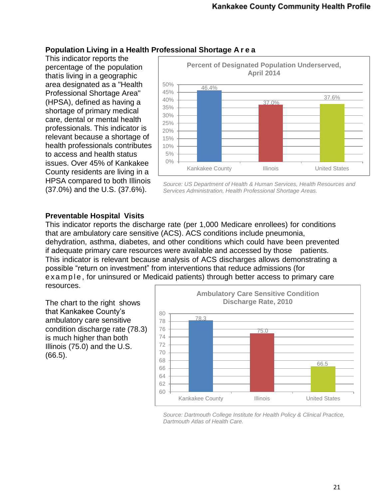### **Population Living in a Health Professional Shortage A r e a**

This indicator reports the percentage of the population thatis living in a geographic area designated as a "Health Professional Shortage Area" (HPSA), defined as having a shortage of primary medical care, dental or mental health professionals. This indicator is relevant because a shortage of health professionals contributes to access and health status issues. Over 45% of Kankakee County residents are living in a HPSA compared to both Illinois (37.0%) and the U.S. (37.6%).



*Source: US Department of Health & Human Services, Health Resources and Services Administration, Health Professional Shortage Areas.*

## **Preventable Hospital Visits**

This indicator reports the discharge rate (per 1,000 Medicare enrollees) for conditions that are ambulatory care sensitive (ACS). ACS conditions include pneumonia, dehydration, asthma, diabetes, and other conditions which could have been prevented if adequate primary care resources were available and accessed by those patients. This indicator is relevant because analysis of ACS discharges allows demonstrating a possible "return on investment" from interventions that reduce admissions (for e x a m p l e, for uninsured or Medicaid patients) through better access to primary care resources.

The chart to the right shows that Kankakee County's ambulatory care sensitive condition discharge rate (78.3) is much higher than both Illinois (75.0) and the U.S. (66.5).



*Source: Dartmouth College Institute for Health Policy & Clinical Practice, Dartmouth Atlas of Health Care.*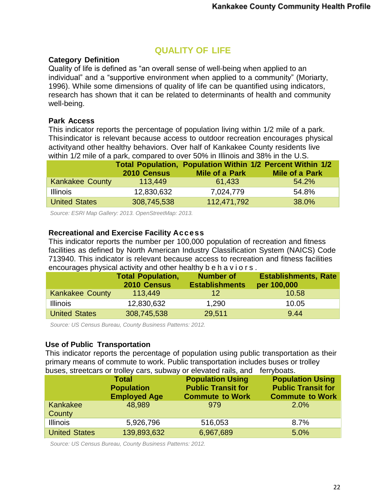## **QUALITY OF LIFE**

#### **Category Definition**

Quality of life is defined as "an overall sense of well-being when applied to an individual" and a "supportive environment when applied to a community" (Moriarty, 1996). While some dimensions of quality of life can be quantified using indicators, research has shown that it can be related to determinants of health and community well-being.

#### **Park Access**

This indicator reports the percentage of population living within 1/2 mile of a park. Thisindicator is relevant because access to outdoor recreation encourages physical activityand other healthy behaviors. Over half of Kankakee County residents live within 1/2 mile of a park, compared to over 50% in Illinois and 38% in the U.S.

|                        | 2010 Census | <b>Mile of a Park</b> | Total Population, Population Within 1/2 Percent Within 1/2<br><b>Mile of a Park</b> |
|------------------------|-------------|-----------------------|-------------------------------------------------------------------------------------|
| <b>Kankakee County</b> | 113.449     | 61,433                | 54.2%                                                                               |
| <b>Illinois</b>        | 12,830,632  | 7,024,779             | 54.8%                                                                               |
| <b>United States</b>   | 308,745,538 | 112,471,792           | 38.0%                                                                               |

*Source: ESRI Map Gallery: 2013. OpenStreetMap: 2013.* 

#### **Recreational and Exercise Facility Access**

This indicator reports the number per 100,000 population of recreation and fitness facilities as defined by North American Industry Classification System (NAICS) Code 713940. This indicator is relevant because access to recreation and fitness facilities encourages physical activity and other healthy b e h a v i o r s .

|                        | <b>Total Population,</b><br>2010 Census | <b>Number of</b><br><b>Establishments</b> | <b>Establishments, Rate</b><br>per 100,000 |
|------------------------|-----------------------------------------|-------------------------------------------|--------------------------------------------|
| <b>Kankakee County</b> | 113.449                                 | 12                                        | 10.58                                      |
| <b>Illinois</b>        | 12,830,632                              | 1,290                                     | 10.05                                      |
| <b>United States</b>   | 308,745,538                             | 29,511                                    | 9.44                                       |

*Source: US Census Bureau, County Business Patterns: 2012.* 

#### **Use of Public Transportation**

This indicator reports the percentage of population using public transportation as their primary means of commute to work. Public transportation includes buses or trolley buses, streetcars or trolley cars, subway or elevated rails, and ferryboats.

|                      | <b>Total</b><br><b>Population</b><br><b>Employed Age</b> | <b>Population Using</b><br><b>Public Transit for</b><br><b>Commute to Work</b> | <b>Population Using</b><br><b>Public Transit for</b><br><b>Commute to Work</b> |
|----------------------|----------------------------------------------------------|--------------------------------------------------------------------------------|--------------------------------------------------------------------------------|
| Kankakee<br>County   | 48.989                                                   | 979                                                                            | 2.0%                                                                           |
| <b>Illinois</b>      | 5,926,796                                                | 516,053                                                                        | 8.7%                                                                           |
| <b>United States</b> | 139,893,632                                              | 6,967,689                                                                      | 5.0%                                                                           |

*Source: US Census Bureau, County Business Patterns: 2012.*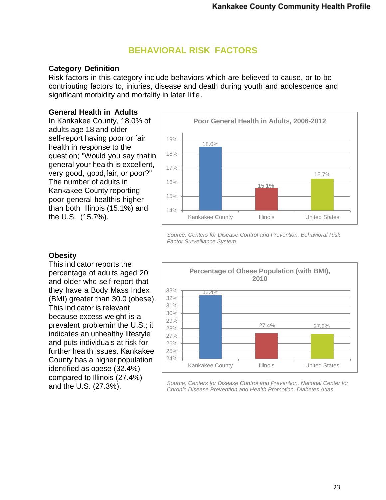## **BEHAVIORAL RISK FACTORS**

#### **Category Definition**

Risk factors in this category include behaviors which are believed to cause, or to be contributing factors to, injuries, disease and death during youth and adolescence and significant morbidity and mortality in later life.

#### **General Health in Adults**

In Kankakee County, 18.0% of adults age 18 and older self-report having poor or fair health in response to the question; "Would you say thatin general your health is excellent, very good, good,fair, or poor?" The number of adults in Kankakee County reporting poor general healthis higher than both Illinois (15.1%) and the U.S. (15.7%).



*Source: Centers for Disease Control and Prevention, Behavioral Risk Factor Surveillance System.*

#### **Obesity**

This indicator reports the percentage of adults aged 20 and older who self-report that they have a Body Mass Index (BMI) greater than 30.0 (obese). This indicator is relevant because excess weight is a prevalent problemin the U.S.; it indicates an unhealthy lifestyle and puts individuals at risk for further health issues. Kankakee County has a higher population identified as obese (32.4%) compared to Illinois (27.4%) and the U.S. (27.3%).



*Source: Centers for Disease Control and Prevention, National Center for Chronic Disease Prevention and Health Promotion, Diabetes Atlas.*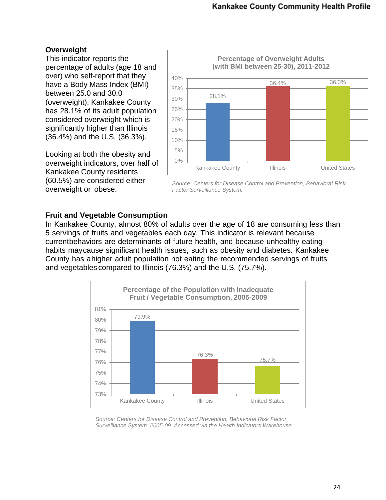### **Overweight**

This indicator reports the percentage of adults (age 18 and over) who self-report that they have a Body Mass Index (BMI) between 25.0 and 30.0 (overweight). Kankakee County has 28.1% of its adult population considered overweight which is significantly higher than Illinois (36.4%) and the U.S. (36.3%).

Looking at both the obesity and overweight indicators, over half of Kankakee County residents (60.5%) are considered either overweight or obese.



*Source: Centers for Disease Control and Prevention, Behavioral Risk Factor Surveillance System.*

### **Fruit and Vegetable Consumption**

In Kankakee County, almost 80% of adults over the age of 18 are consuming less than 5 servings of fruits and vegetables each day. This indicator is relevant because currentbehaviors are determinants of future health, and because unhealthy eating habits maycause significant health issues, such as obesity and diabetes. Kankakee County has ahigher adult population not eating the recommended servings of fruits and vegetables compared to Illinois (76.3%) and the U.S. (75.7%).



*Source: Centers for Disease Control and Prevention, Behavioral Risk Factor Surveillance System: 2005-09. Accessed via the Health Indicators Warehouse.*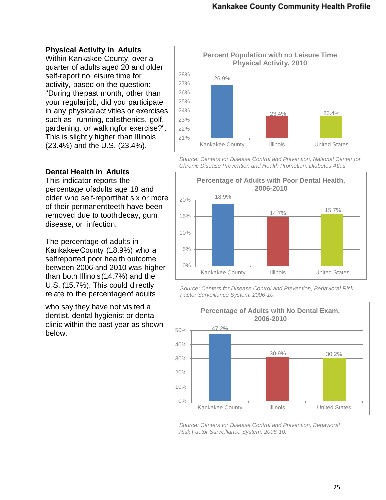#### **Physical Activity in Adults**

Within Kankakee County, over a quarter of adults aged 20 and older self-report no leisure time for activity, based on the question: "During thepast month, other than your regularjob, did you participate in any physicalactivities or exercises such as running, calisthenics, golf, gardening, or walkingfor exercise?". This is slightly higher than Illinois (23.4%) and the U.S. (23.4%).

#### **Dental Health in Adults**

This indicator reports the percentage ofadults age 18 and older who self-reportthat six or more of their permanentteeth have been removed due to toothdecay, gum disease, or infection.

The percentage of adults in KankakeeCounty (18.9%) who a selfreported poor health outcome between 2006 and 2010 was higher than both Illinois(14.7%) and the U.S. (15.7%). This could directly relate to the percentageof adults

who say they have not visited a dentist, dental hygienist or dental clinic within the past year as shown below.



*Source: Centers for Disease Control and Prevention, National Center for Chronic Disease Prevention and Health Promotion, Diabetes Atlas.*



*Source: Centers for Disease Control and Prevention, Behavioral Risk Factor Surveillance System: 2006-10.* 



*Source: Centers for Disease Control and Prevention, Behavioral Risk Factor Surveillance System: 2006-10.*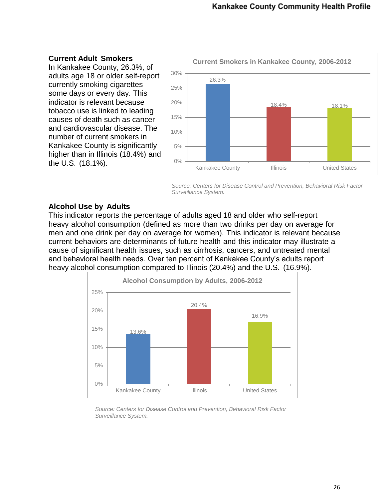#### **Current Adult Smokers**

In Kankakee County, 26.3%, of adults age 18 or older self-report currently smoking cigarettes some days or every day. This indicator is relevant because tobacco use is linked to leading causes of death such as cancer and cardiovascular disease. The number of current smokers in Kankakee County is significantly higher than in Illinois (18.4%) and the U.S. (18.1%).



*Source: Centers for Disease Control and Prevention, Behavioral Risk Factor Surveillance System.*

#### **Alcohol Use by Adults**

This indicator reports the percentage of adults aged 18 and older who self-report heavy alcohol consumption (defined as more than two drinks per day on average for men and one drink per day on average for women). This indicator is relevant because current behaviors are determinants of future health and this indicator may illustrate a cause of significant health issues, such as cirrhosis, cancers, and untreated mental and behavioral health needs. Over ten percent of Kankakee County's adults report heavy alcohol consumption compared to Illinois (20.4%) and the U.S. (16.9%).



*Source: Centers for Disease Control and Prevention, Behavioral Risk Factor Surveillance System.*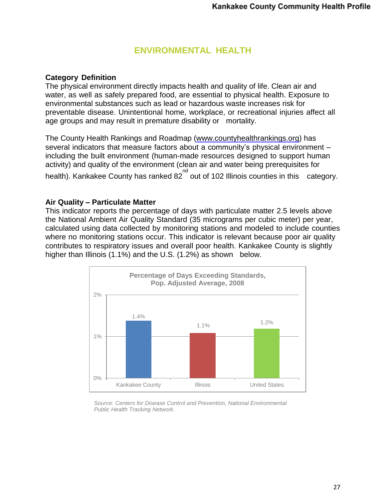## **ENVIRONMENTAL HEALTH**

#### **Category Definition**

The physical environment directly impacts health and quality of life. Clean air and water, as well as safely prepared food, are essential to physical health. Exposure to environmental substances such as lead or hazardous waste increases risk for preventable disease. Unintentional home, workplace, or recreational injuries affect all age groups and may result in premature disability or mortality.

The County Health Rankings and Roadmap [\(www.countyhealthrankings.org\)](http://www.countyhealthrankings.org/) has several indicators that measure factors about a community's physical environment – including the built environment (human-made resources designed to support human activity) and quality of the environment (clean air and water being prerequisites for health). Kankakee County has ranked 82<sup>nd</sup> out of 102 Illinois counties in this category.

#### **Air Quality – Particulate Matter**

This indicator reports the percentage of days with particulate matter 2.5 levels above the National Ambient Air Quality Standard (35 micrograms per cubic meter) per year, calculated using data collected by monitoring stations and modeled to include counties where no monitoring stations occur. This indicator is relevant because poor air quality contributes to respiratory issues and overall poor health. Kankakee County is slightly higher than Illinois (1.1%) and the U.S. (1.2%) as shown below.



*Source: Centers for Disease Control and Prevention, National Environmental Public Health Tracking Network.*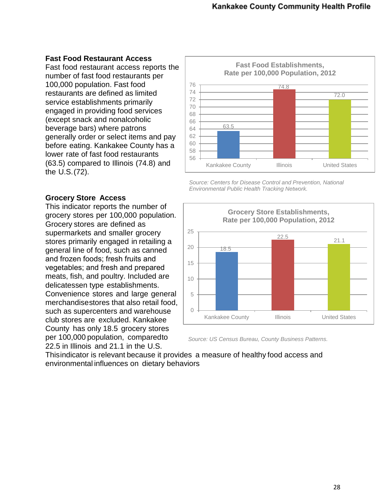#### **Fast Food Restaurant Access**

Fast food restaurant access reports the number of fast food restaurants per 100,000 population. Fast food restaurants are defined as limited service establishments primarily engaged in providing food services (except snack and nonalcoholic beverage bars) where patrons generally order or select items and pay before eating. Kankakee County has a lower rate of fast food restaurants (63.5) compared to Illinois (74.8) and the U.S.(72).

#### **Grocery Store Access**

This indicator reports the number of grocery stores per 100,000 population. Grocery stores are defined as supermarkets and smaller grocery stores primarily engaged in retailing a general line of food, such as canned and frozen foods; fresh fruits and vegetables; and fresh and prepared meats, fish, and poultry. Included are delicatessen type establishments. Convenience stores and large general merchandisestores that also retail food, such as supercenters and warehouse club stores are excluded. Kankakee County has only 18.5 grocery stores per 100,000 population, comparedto 22.5 in Illinois and 21.1 in the U.S.



*Source: Centers for Disease Control and Prevention, National Environmental Public Health Tracking Network.*



*Source: US Census Bureau, County Business Patterns.*

Thisindicator is relevant because it provides a measure of healthy food access and environmental influences on dietary behaviors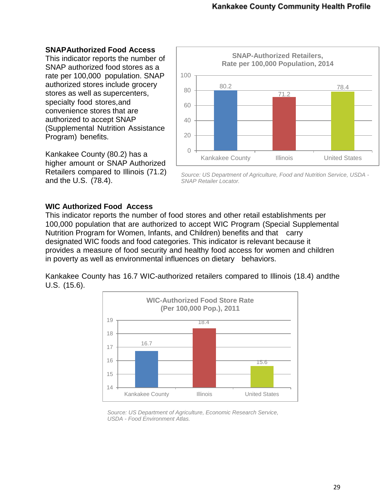#### **SNAPAuthorized Food Access**

This indicator reports the number of SNAP authorized food stores as a rate per 100,000 population. SNAP authorized stores include grocery stores as well as supercenters, specialty food stores,and convenience stores that are authorized to accept SNAP (Supplemental Nutrition Assistance Program) benefits.

Kankakee County (80.2) has a higher amount or SNAP Authorized Retailers compared to Illinois (71.2) and the U.S. (78.4).



*Source: US Department of Agriculture, Food and Nutrition Service, USDA - SNAP Retailer Locator.*

#### **WIC Authorized Food Access**

This indicator reports the number of food stores and other retail establishments per 100,000 population that are authorized to accept WIC Program (Special Supplemental Nutrition Program for Women, Infants, and Children) benefits and that carry designated WIC foods and food categories. This indicator is relevant because it provides a measure of food security and healthy food access for women and children in poverty as well as environmental influences on dietary behaviors.

Kankakee County has 16.7 WIC-authorized retailers compared to Illinois (18.4) andthe U.S. (15.6).



*Source: US Department of Agriculture, Economic Research Service, USDA - Food Environment Atlas.*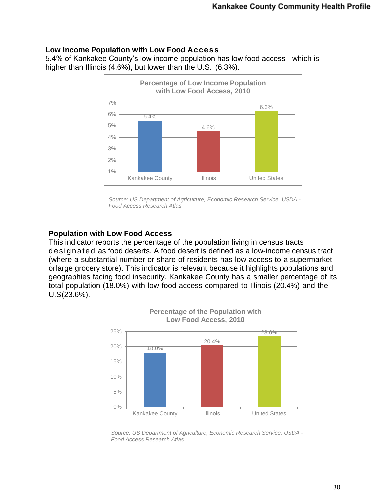#### **Low Income Population with Low Food Access**

5.4% of Kankakee County's low income population has low food access which is higher than Illinois (4.6%), but lower than the U.S. (6.3%).



*Source: US Department of Agriculture, Economic Research Service, USDA - Food Access Research Atlas.*

### **Population with Low Food Access**

This indicator reports the percentage of the population living in census tracts d es ign ate d as food deserts. A food desert is defined as a low-income census tract (where a substantial number or share of residents has low access to a supermarket orlarge grocery store). This indicator is relevant because it highlights populations and geographies facing food insecurity. Kankakee County has a smaller percentage of its total population (18.0%) with low food access compared to Illinois (20.4%) and the U.S(23.6%).



*Source: US Department of Agriculture, Economic Research Service, USDA - Food Access Research Atlas.*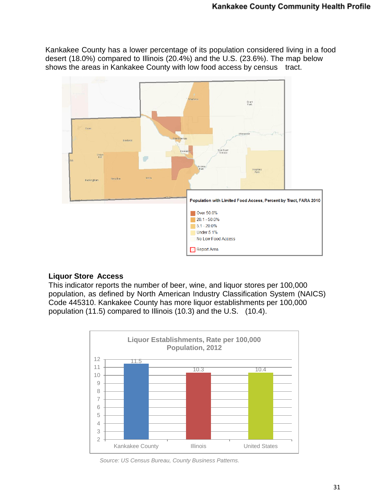Kankakee County has a lower percentage of its population considered living in a food desert (18.0%) compared to Illinois (20.4%) and the U.S. (23.6%). The map below shows the areas in Kankakee County with low food access by census tract.



#### **Liquor Store Access**

This indicator reports the number of beer, wine, and liquor stores per 100,000 population, as defined by North American Industry Classification System (NAICS) Code 445310. Kankakee County has more liquor establishments per 100,000 population (11.5) compared to Illinois (10.3) and the U.S. (10.4).



*Source: US Census Bureau, County Business Patterns.*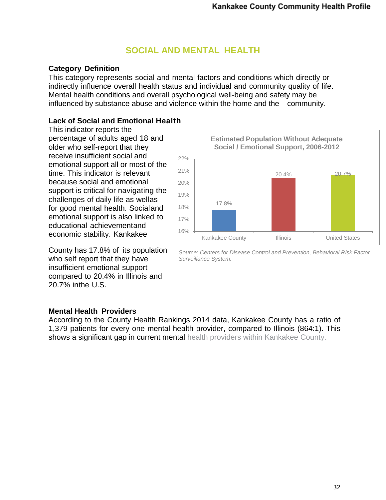## **SOCIAL AND MENTAL HEALTH**

### **Category Definition**

This category represents social and mental factors and conditions which directly or indirectly influence overall health status and individual and community quality of life. Mental health conditions and overall psychological well-being and safety may be influenced by substance abuse and violence within the home and the community.

## **Lack of Social and Emotional Health**

This indicator reports the percentage of adults aged 18 and older who self-report that they receive insufficient social and emotional support all or most of the time. This indicator is relevant because social and emotional support is critical for navigating the challenges of daily life as wellas for good mental health. Socialand emotional support is also linked to educational achievementand economic stability. Kankakee

County has 17.8% of its population who self report that they have insufficient emotional support compared to 20.4% in Illinois and 20.7% inthe U.S.



*Source: Centers for Disease Control and Prevention, Behavioral Risk Factor Surveillance System.*

#### **Mental Health Providers**

According to the County Health Rankings 2014 data, Kankakee County has a ratio of 1,379 patients for every one mental health provider, compared to Illinois (864:1). This shows a significant gap in current mental health providers within Kankakee County.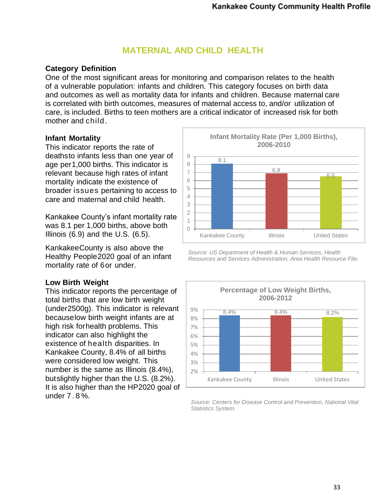## **MATERNAL AND CHILD HEALTH**

### **Category Definition**

One of the most significant areas for monitoring and comparison relates to the health of a vulnerable population: infants and children. This category focuses on birth data and outcomes as well as mortality data for infants and children. Because maternal care is correlated with birth outcomes, measures of maternal access to, and/or utilization of care, is included. Births to teen mothers are a critical indicator of increased risk for both mother and child.

#### **Infant Mortality**

This indicator reports the rate of deathsto infants less than one year of age per1,000 births. This indicator is relevant because high rates of infant mortality indicate the existence of broader issues pertaining to access to care and maternal and child health.

Kankakee County's infant mortality rate was 8.1 per 1,000 births, above both Illinois  $(6.9)$  and the U.S.  $(6.5)$ .

KankakeeCounty is also above the Healthy People2020 goal of an infant mortality rate of 6or under.

## **Low Birth Weight**

This indicator reports the percentage of total births that are low birth weight (under2500g). This indicator is relevant becauselow birth weight infants are at high risk forhealth problems. This indicator can also highlight the existence of health disparities. In Kankakee County, 8.4% of all births were considered low weight. This number is the same as Illinois (8.4%), butslightly higher than the U.S. (8.2%). It is also higher than the HP2020 goal of under 7 . 8 %.



*Source: US Department of Health & Human Services, Health Resources and Services Administration, Area Health Resource File.*



*Source: Centers for Disease Control and Prevention, National Vital Statistics System.*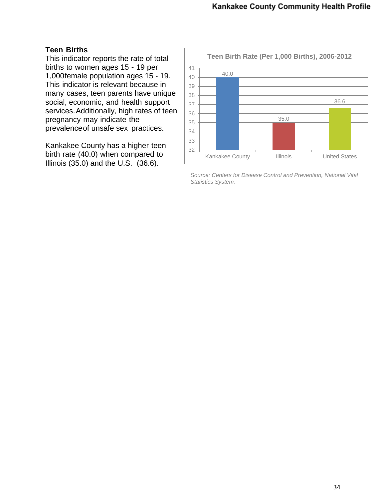### **Teen Births**

This indicator reports the rate of total births to women ages 15 - 19 per 1,000female population ages 15 - 19. This indicator is relevant because in many cases, teen parents have unique social, economic, and health support services.Additionally, high rates of teen pregnancy may indicate the prevalenceof unsafe sex practices.

Kankakee County has a higher teen birth rate (40.0) when compared to Illinois (35.0) and the U.S. (36.6).



*Source: Centers for Disease Control and Prevention, National Vital Statistics System.*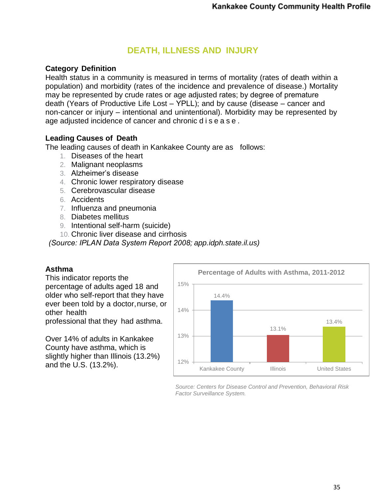## **DEATH, ILLNESS AND INJURY**

### **Category Definition**

Health status in a community is measured in terms of mortality (rates of death within a population) and morbidity (rates of the incidence and prevalence of disease.) Mortality may be represented by crude rates or age adjusted rates; by degree of premature death (Years of Productive Life Lost – YPLL); and by cause (disease – cancer and non-cancer or injury – intentional and unintentional). Morbidity may be represented by age adjusted incidence of cancer and chronic d i s e a s e .

#### **Leading Causes of Death**

The leading causes of death in Kankakee County are as follows:

- 1. Diseases of the heart
- 2. Malignant neoplasms
- 3. Alzheimer's disease
- 4. Chronic lower respiratory disease
- 5. Cerebrovascular disease
- 6. Accidents
- 7. Influenza and pneumonia
- 8. Diabetes mellitus
- 9. Intentional self-harm (suicide)
- 10. Chronic liver disease and cirrhosis

*(Source: IPLAN Data System Report 2008; app.idph.state.il.us)*

#### **Asthma**

This indicator reports the percentage of adults aged 18 and older who self-report that they have ever been told by a doctor,nurse, or other health professional that they had asthma.

Over 14% of adults in Kankakee County have asthma, which is slightly higher than Illinois (13.2%) and the U.S. (13.2%).



*Source: Centers for Disease Control and Prevention, Behavioral Risk Factor Surveillance System.*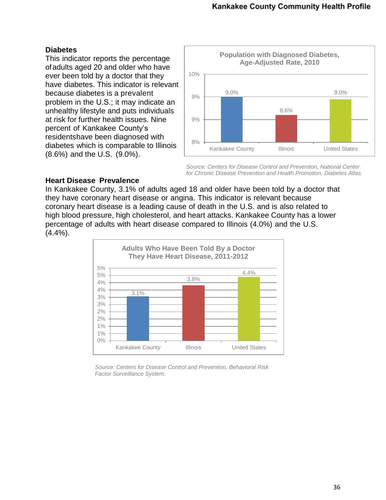#### **Diabetes**

This indicator reports the percentage ofadults aged 20 and older who have ever been told by a doctor that they have diabetes. This indicator is relevant because diabetes is a prevalent problem in the U.S.; it may indicate an unhealthy lifestyle and puts individuals at risk for further health issues. Nine percent of Kankakee County's residentshave been diagnosed with diabetes which is comparable to Illinois (8.6%) and the U.S. (9.0%).



*Source: Centers for Disease Control and Prevention, National Center for Chronic Disease Prevention and Health Promotion, Diabetes Atlas.*

#### **Heart Disease Prevalence**

In Kankakee County, 3.1% of adults aged 18 and older have been told by a doctor that they have coronary heart disease or angina. This indicator is relevant because coronary heart disease is a leading cause of death in the U.S. and is also related to high blood pressure, high cholesterol, and heart attacks. Kankakee County has a lower percentage of adults with heart disease compared to Illinois (4.0%) and the U.S. (4.4%).



*Source: Centers for Disease Control and Prevention, Behavioral Risk Factor Surveillance System.*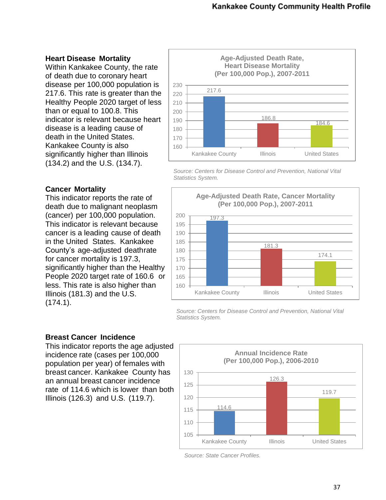#### **Heart Disease Mortality**

Within Kankakee County, the rate of death due to coronary heart disease per 100,000 population is 217.6. This rate is greater than the Healthy People 2020 target of less than or equal to 100.8. This indicator is relevant because heart disease is a leading cause of death in the United States. Kankakee County is also significantly higher than Illinois (134.2) and the U.S. (134.7).



*Source: Centers for Disease Control and Prevention, National Vital Statistics System.*

### **Cancer Mortality**

This indicator reports the rate of death due to malignant neoplasm (cancer) per 100,000 population. This indicator is relevant because cancer is a leading cause of death in the United States. Kankakee County's age-adjusted deathrate for cancer mortality is 197.3, significantly higher than the Healthy People 2020 target rate of 160.6 or less. This rate is also higher than Illinois (181.3) and the U.S. (174.1).



*Source: Centers for Disease Control and Prevention, National Vital Statistics System.*

#### **Breast Cancer Incidence**

This indicator reports the age adjusted incidence rate (cases per 100,000 population per year) of females with breast cancer. Kankakee County has an annual breast cancer incidence rate of 114.6 which is lower than both Illinois (126.3) and U.S. (119.7).



*Source: State Cancer Profiles.*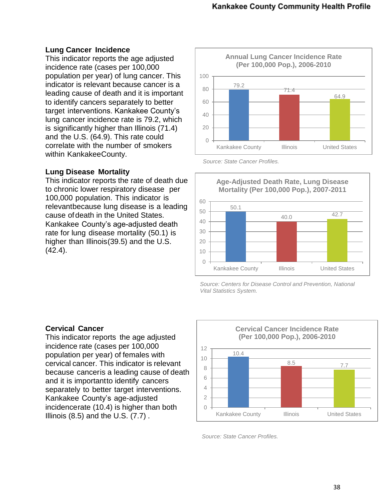#### **Lung Cancer Incidence**

This indicator reports the age adjusted incidence rate (cases per 100,000 population per year) of lung cancer. This indicator is relevant because cancer is a leading cause of death and it is important to identify cancers separately to better target interventions. Kankakee County's lung cancer incidence rate is 79.2, which is significantly higher than Illinois (71.4) and the U.S. (64.9). This rate could correlate with the number of smokers within KankakeeCounty.

#### **Lung Disease Mortality**

This indicator reports the rate of death due to chronic lower respiratory disease per 100,000 population. This indicator is relevantbecause lung disease is a leading cause ofdeath in the United States. Kankakee County's age-adjusted death rate for lung disease mortality (50.1) is higher than Illinois(39.5) and the U.S.  $(42.4)$ .







*Source: Centers for Disease Control and Prevention, National Vital Statistics System.*

#### **Cervical Cancer**

This indicator reports the age adjusted incidence rate (cases per 100,000 population per year) of females with cervical cancer. This indicator is relevant because canceris a leading cause of death and it is importantto identify cancers separately to better target interventions. Kankakee County's age-adjusted incidencerate (10.4) is higher than both Illinois  $(8.5)$  and the U.S.  $(7.7)$ .



*Source: State Cancer Profiles.*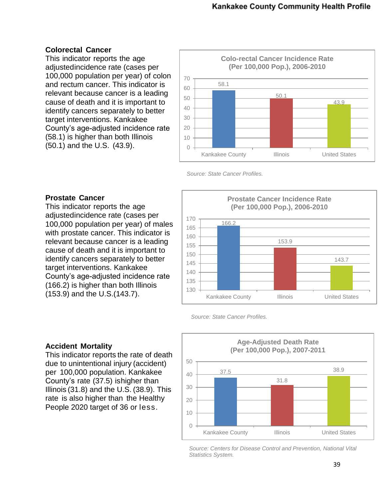#### **Colorectal Cancer**

This indicator reports the age adjustedincidence rate (cases per 100,000 population per year) of colon and rectum cancer. This indicator is relevant because cancer is a leading cause of death and it is important to identify cancers separately to better target interventions. Kankakee County's age-adjusted incidence rate (58.1) is higher than both Illinois (50.1) and the U.S. (43.9).



*Source: State Cancer Profiles.*

#### **Prostate Cancer**

This indicator reports the age adjustedincidence rate (cases per 100,000 population per year) of males with prostate cancer. This indicator is relevant because cancer is a leading cause of death and it is important to identify cancers separately to better target interventions. Kankakee County's age-adjusted incidence rate (166.2) is higher than both Illinois (153.9) and the U.S.(143.7).



*Source: State Cancer Profiles.*

#### **Accident Mortality**

This indicator reports the rate of death due to unintentional injury (accident) per 100,000 population. Kankakee County's rate (37.5) ishigher than Illinois (31.8) and the U.S. (38.9). This rate is also higher than the Healthy People 2020 target of 36 or less.



*Source: Centers for Disease Control and Prevention, National Vital Statistics System.*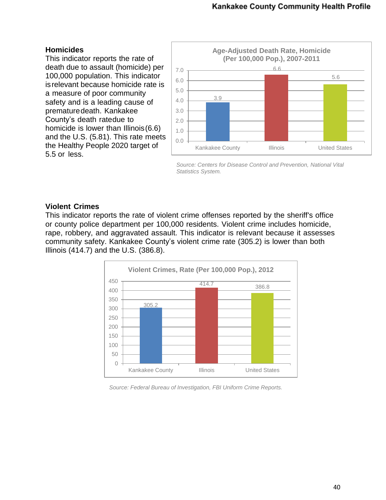### **Homicides**

This indicator reports the rate of death due to assault (homicide) per 100,000 population. This indicator isrelevant because homicide rate is a measure of poor community safety and is a leading cause of prematuredeath. Kankakee County's death ratedue to homicide is lower than Illinois(6.6) and the U.S. (5.81). This rate meets the Healthy People 2020 target of 5.5 or less.



*Source: Centers for Disease Control and Prevention, National Vital Statistics System.*

#### **Violent Crimes**

This indicator reports the rate of violent crime offenses reported by the sheriff's office or county police department per 100,000 residents. Violent crime includes homicide, rape, robbery, and aggravated assault. This indicator is relevant because it assesses community safety. Kankakee County's violent crime rate (305.2) is lower than both Illinois (414.7) and the U.S. (386.8).



*Source: Federal Bureau of Investigation, FBI Uniform Crime Reports.*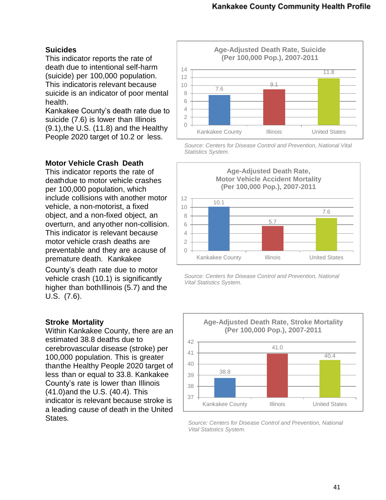#### **Suicides**

This indicator reports the rate of death due to intentional self-harm (suicide) per 100,000 population. This indicatoris relevant because suicide is an indicator of poor mental health.

Kankakee County's death rate due to suicide (7.6) is lower than Illinois (9.1),the U.S. (11.8) and the Healthy People 2020 target of 10.2 or less.

#### **Motor Vehicle Crash Death**

This indicator reports the rate of deathdue to motor vehicle crashes per 100,000 population, which include collisions with another motor vehicle, a non-motorist, a fixed object, and a non-fixed object, an overturn, and anyother non-collision. This indicator is relevant because motor vehicle crash deaths are preventable and they are acause of premature death. Kankakee

County's death rate due to motor vehicle crash (10.1) is significantly higher than bothIllinois (5.7) and the U.S. (7.6).

#### **Stroke Mortality**

Within Kankakee County, there are an estimated 38.8 deaths due to cerebrovascular disease (stroke) per 100,000 population. This is greater thanthe Healthy People 2020 target of less than or equal to 33.8. Kankakee County's rate is lower than Illinois (41.0)and the U.S. (40.4). This indicator is relevant because stroke is a leading cause of death in the United States.



*Source: Centers for Disease Control and Prevention, National Vital Statistics System.*



*Source: Centers for Disease Control and Prevention, National Vital Statistics System.*



*Source: Centers for Disease Control and Prevention, National Vital Statistics System.*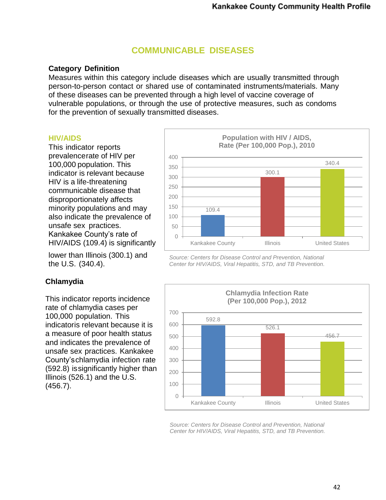## **COMMUNICABLE DISEASES**

#### **Category Definition**

Measures within this category include diseases which are usually transmitted through person-to-person contact or shared use of contaminated instruments/materials. Many of these diseases can be prevented through a high level of vaccine coverage of vulnerable populations, or through the use of protective measures, such as condoms for the prevention of sexually transmitted diseases.

#### **HIV/AIDS**

This indicator reports prevalencerate of HIV per 100,000 population. This indicator is relevant because HIV is a life-threatening communicable disease that disproportionately affects minority populations and may also indicate the prevalence of unsafe sex practices. Kankakee County's rate of HIV/AIDS (109.4) is significantly

lower than Illinois (300.1) and the U.S. (340.4).

#### **Chlamydia**

This indicator reports incidence rate of chlamydia cases per 100,000 population. This indicatoris relevant because it is a measure of poor health status and indicates the prevalence of unsafe sex practices. Kankakee County'schlamydia infection rate (592.8) issignificantly higher than Illinois (526.1) and the U.S. (456.7).



*Source: Centers for Disease Control and Prevention, National Center for HIV/AIDS, Viral Hepatitis, STD, and TB Prevention.*



*Source: Centers for Disease Control and Prevention, National Center for HIV/AIDS, Viral Hepatitis, STD, and TB Prevention.*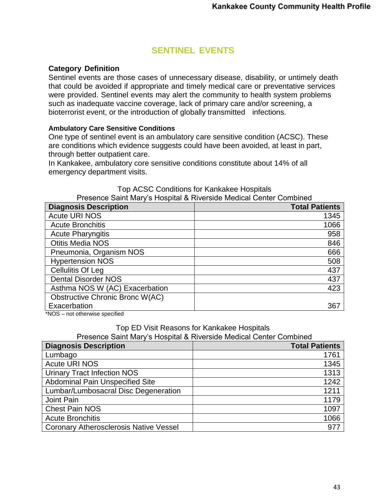## **SENTINEL EVENTS**

### **Category Definition**

Sentinel events are those cases of unnecessary disease, disability, or untimely death that could be avoided if appropriate and timely medical care or preventative services were provided. Sentinel events may alert the community to health system problems such as inadequate vaccine coverage, lack of primary care and/or screening, a bioterrorist event, or the introduction of globally transmitted infections.

#### **Ambulatory Care Sensitive Conditions**

One type of sentinel event is an ambulatory care sensitive condition (ACSC). These are conditions which evidence suggests could have been avoided, at least in part, through better outpatient care.

In Kankakee, ambulatory core sensitive conditions constitute about 14% of all emergency department visits.

| Presence Saint Mary's Hospital & Riverside Medical Center Compined |                       |
|--------------------------------------------------------------------|-----------------------|
| <b>Diagnosis Description</b>                                       | <b>Total Patients</b> |
| <b>Acute URI NOS</b>                                               | 1345                  |
| <b>Acute Bronchitis</b>                                            | 1066                  |
| <b>Acute Pharyngitis</b>                                           | 958                   |
| <b>Otitis Media NOS</b>                                            | 846                   |
| Pneumonia, Organism NOS                                            | 666                   |
| <b>Hypertension NOS</b>                                            | 508                   |
| Cellulitis Of Leg                                                  | 437                   |
| <b>Dental Disorder NOS</b>                                         | 437                   |
| Asthma NOS W (AC) Exacerbation                                     | 423                   |
| <b>Obstructive Chronic Bronc W(AC)</b>                             |                       |
| Exacerbation                                                       | 367                   |

#### Top ACSC Conditions for Kankakee Hospitals Presence Saint Mary's Hospital & Riverside Medical Center Combined

\*NOS – not otherwise specified

#### Top ED Visit Reasons for Kankakee Hospitals

Presence Saint Mary's Hospital & Riverside Medical Center Combined

| <b>Diagnosis Description</b>                  | <b>Total Patients</b> |
|-----------------------------------------------|-----------------------|
| Lumbago                                       | 1761                  |
| <b>Acute URI NOS</b>                          | 1345                  |
| <b>Urinary Tract Infection NOS</b>            | 1313                  |
| Abdominal Pain Unspecified Site               | 1242                  |
| Lumbar/Lumbosacral Disc Degeneration          | 1211                  |
| Joint Pain                                    | 1179                  |
| <b>Chest Pain NOS</b>                         | 1097                  |
| <b>Acute Bronchitis</b>                       | 1066                  |
| <b>Coronary Atherosclerosis Native Vessel</b> | 977                   |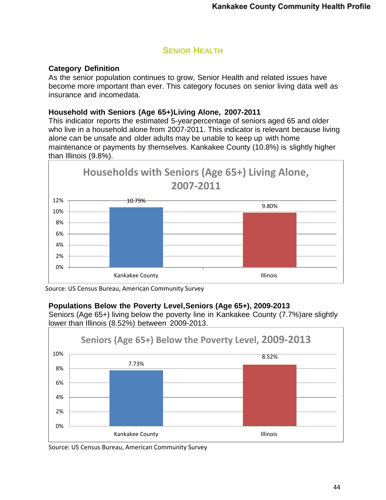## **SENIOR HEALTH**

### **Category Definition**

As the senior population continues to grow, Senior Health and related issues have become more important than ever. This category focuses on senior living data well as insurance and incomedata.

#### **Household with Seniors (Age 65+)Living Alone, 2007-2011**

This indicator reports the estimated 5-yearpercentage of seniors aged 65 and older who live in a household alone from 2007-2011. This indicator is relevant because living alone can be unsafe and older adults may be unable to keep up with home maintenance or payments by themselves. Kankakee County (10.8%) is slightly higher than Illinois (9.8%).



Source: US Census Bureau, American Community Survey

#### **Populations Below the Poverty Level,Seniors (Age 65+), 2009-2013**

Seniors (Age 65+) living below the poverty line in Kankakee County (7.7%)are slightly lower than Illinois (8.52%) between 2009-2013.



Source: US Census Bureau, American Community Survey